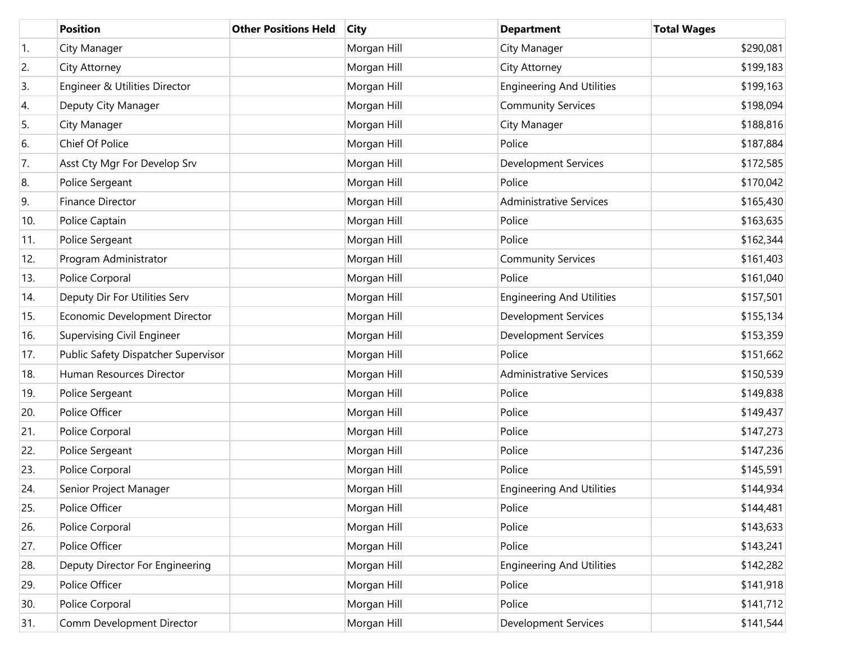|                  | <b>Position</b>                     | <b>Other Positions Held</b> | <b>City</b> | <b>Department</b>                | <b>Total Wages</b> |
|------------------|-------------------------------------|-----------------------------|-------------|----------------------------------|--------------------|
| $\overline{1}$ . | City Manager                        |                             | Morgan Hill | City Manager                     | \$290,081          |
| 2.               | City Attorney                       |                             | Morgan Hill | City Attorney                    | \$199,183          |
| 3.               | Engineer & Utilities Director       |                             | Morgan Hill | <b>Engineering And Utilities</b> | \$199,163          |
| 4.               | Deputy City Manager                 |                             | Morgan Hill | <b>Community Services</b>        | \$198,094          |
| 5.               | City Manager                        |                             | Morgan Hill | City Manager                     | \$188,816          |
| 6.               | Chief Of Police                     |                             | Morgan Hill | Police                           | \$187,884          |
| 7.               | Asst Cty Mgr For Develop Srv        |                             | Morgan Hill | <b>Development Services</b>      | \$172,585          |
| 8.               | Police Sergeant                     |                             | Morgan Hill | Police                           | \$170,042          |
| 9.               | <b>Finance Director</b>             |                             | Morgan Hill | <b>Administrative Services</b>   | \$165,430          |
| 10.              | Police Captain                      |                             | Morgan Hill | Police                           | \$163,635          |
| 11.              | Police Sergeant                     |                             | Morgan Hill | Police                           | \$162,344          |
| 12.              | Program Administrator               |                             | Morgan Hill | <b>Community Services</b>        | \$161,403          |
| 13.              | Police Corporal                     |                             | Morgan Hill | Police                           | \$161,040          |
| 14.              | Deputy Dir For Utilities Serv       |                             | Morgan Hill | <b>Engineering And Utilities</b> | \$157,501          |
| 15.              | Economic Development Director       |                             | Morgan Hill | <b>Development Services</b>      | \$155,134          |
| 16.              | Supervising Civil Engineer          |                             | Morgan Hill | <b>Development Services</b>      | \$153,359          |
| 17.              | Public Safety Dispatcher Supervisor |                             | Morgan Hill | Police                           | \$151,662          |
| 18.              | Human Resources Director            |                             | Morgan Hill | <b>Administrative Services</b>   | \$150,539          |
| 19.              | Police Sergeant                     |                             | Morgan Hill | Police                           | \$149,838          |
| 20.              | Police Officer                      |                             | Morgan Hill | Police                           | \$149,437          |
| 21.              | Police Corporal                     |                             | Morgan Hill | Police                           | \$147,273          |
| 22.              | Police Sergeant                     |                             | Morgan Hill | Police                           | \$147,236          |
| 23.              | Police Corporal                     |                             | Morgan Hill | Police                           | \$145,591          |
| 24.              | Senior Project Manager              |                             | Morgan Hill | <b>Engineering And Utilities</b> | \$144,934          |
| 25.              | Police Officer                      |                             | Morgan Hill | Police                           | \$144,481          |
| 26.              | Police Corporal                     |                             | Morgan Hill | Police                           | \$143,633          |
| 27.              | Police Officer                      |                             | Morgan Hill | Police                           | \$143,241          |
| 28.              | Deputy Director For Engineering     |                             | Morgan Hill | <b>Engineering And Utilities</b> | \$142,282          |
| 29.              | Police Officer                      |                             | Morgan Hill | Police                           | \$141,918          |
| 30.              | Police Corporal                     |                             | Morgan Hill | Police                           | \$141,712          |
| 31.              | Comm Development Director           |                             | Morgan Hill | <b>Development Services</b>      | \$141,544          |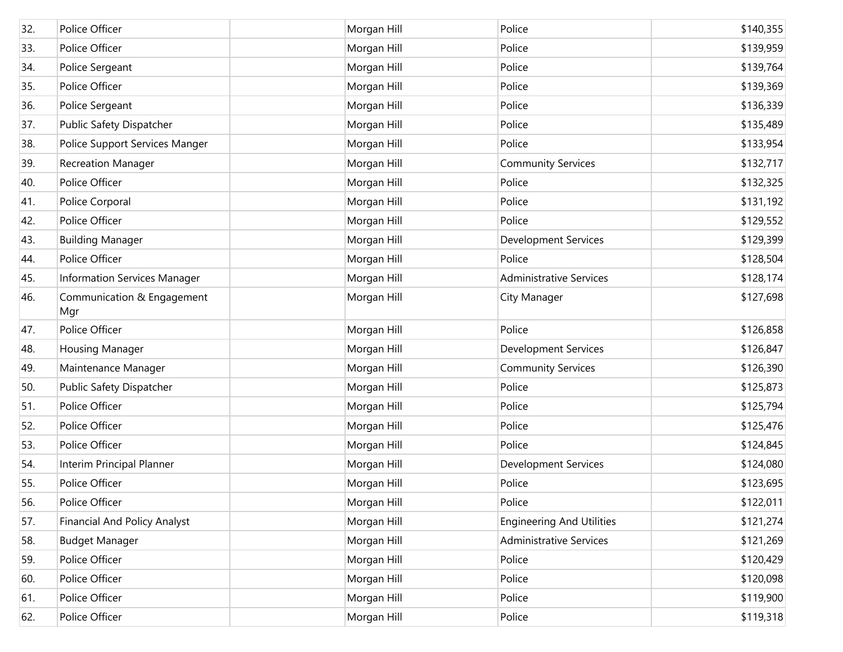| 32. | Police Officer                      | Morgan Hill | Police                           | \$140,355 |
|-----|-------------------------------------|-------------|----------------------------------|-----------|
| 33. | Police Officer                      | Morgan Hill | Police                           | \$139,959 |
| 34. | Police Sergeant                     | Morgan Hill | Police                           | \$139,764 |
| 35. | Police Officer                      | Morgan Hill | Police                           | \$139,369 |
| 36. | Police Sergeant                     | Morgan Hill | Police                           | \$136,339 |
| 37. | Public Safety Dispatcher            | Morgan Hill | Police                           | \$135,489 |
| 38. | Police Support Services Manger      | Morgan Hill | Police                           | \$133,954 |
| 39. | <b>Recreation Manager</b>           | Morgan Hill | <b>Community Services</b>        | \$132,717 |
| 40. | Police Officer                      | Morgan Hill | Police                           | \$132,325 |
| 41. | Police Corporal                     | Morgan Hill | Police                           | \$131,192 |
| 42. | Police Officer                      | Morgan Hill | Police                           | \$129,552 |
| 43. | <b>Building Manager</b>             | Morgan Hill | <b>Development Services</b>      | \$129,399 |
| 44. | Police Officer                      | Morgan Hill | Police                           | \$128,504 |
| 45. | Information Services Manager        | Morgan Hill | <b>Administrative Services</b>   | \$128,174 |
| 46. | Communication & Engagement<br>Mgr   | Morgan Hill | City Manager                     | \$127,698 |
| 47. | Police Officer                      | Morgan Hill | Police                           | \$126,858 |
| 48. | <b>Housing Manager</b>              | Morgan Hill | <b>Development Services</b>      | \$126,847 |
| 49. | Maintenance Manager                 | Morgan Hill | <b>Community Services</b>        | \$126,390 |
| 50. | Public Safety Dispatcher            | Morgan Hill | Police                           | \$125,873 |
| 51. | Police Officer                      | Morgan Hill | Police                           | \$125,794 |
| 52. | Police Officer                      | Morgan Hill | Police                           | \$125,476 |
| 53. | Police Officer                      | Morgan Hill | Police                           | \$124,845 |
| 54. | Interim Principal Planner           | Morgan Hill | <b>Development Services</b>      | \$124,080 |
| 55. | Police Officer                      | Morgan Hill | Police                           | \$123,695 |
| 56. | Police Officer                      | Morgan Hill | Police                           | \$122,011 |
| 57. | <b>Financial And Policy Analyst</b> | Morgan Hill | <b>Engineering And Utilities</b> | \$121,274 |
| 58. | <b>Budget Manager</b>               | Morgan Hill | <b>Administrative Services</b>   | \$121,269 |
| 59. | Police Officer                      | Morgan Hill | Police                           | \$120,429 |
| 60. | Police Officer                      | Morgan Hill | Police                           | \$120,098 |
| 61. | Police Officer                      | Morgan Hill | Police                           | \$119,900 |
| 62. | Police Officer                      | Morgan Hill | Police                           | \$119,318 |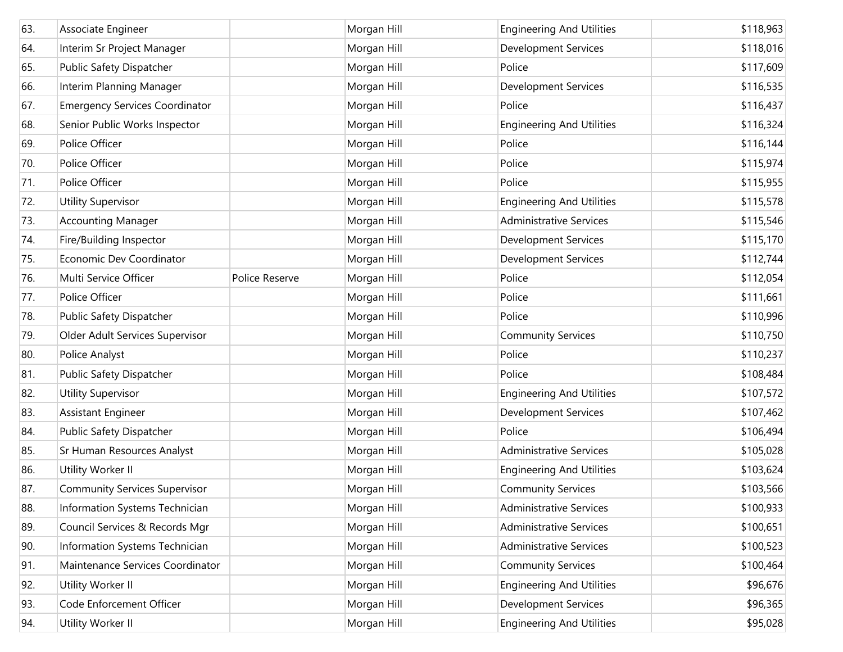| 63. | Associate Engineer                    |                | Morgan Hill | <b>Engineering And Utilities</b> | \$118,963 |
|-----|---------------------------------------|----------------|-------------|----------------------------------|-----------|
| 64. | Interim Sr Project Manager            |                | Morgan Hill | <b>Development Services</b>      | \$118,016 |
| 65. | Public Safety Dispatcher              |                | Morgan Hill | Police                           | \$117,609 |
| 66. | Interim Planning Manager              |                | Morgan Hill | <b>Development Services</b>      | \$116,535 |
| 67. | <b>Emergency Services Coordinator</b> |                | Morgan Hill | Police                           | \$116,437 |
| 68. | Senior Public Works Inspector         |                | Morgan Hill | <b>Engineering And Utilities</b> | \$116,324 |
| 69. | Police Officer                        |                | Morgan Hill | Police                           | \$116,144 |
| 70. | Police Officer                        |                | Morgan Hill | Police                           | \$115,974 |
| 71. | Police Officer                        |                | Morgan Hill | Police                           | \$115,955 |
| 72. | <b>Utility Supervisor</b>             |                | Morgan Hill | <b>Engineering And Utilities</b> | \$115,578 |
| 73. | <b>Accounting Manager</b>             |                | Morgan Hill | <b>Administrative Services</b>   | \$115,546 |
| 74. | Fire/Building Inspector               |                | Morgan Hill | <b>Development Services</b>      | \$115,170 |
| 75. | Economic Dev Coordinator              |                | Morgan Hill | <b>Development Services</b>      | \$112,744 |
| 76. | Multi Service Officer                 | Police Reserve | Morgan Hill | Police                           | \$112,054 |
| 77. | Police Officer                        |                | Morgan Hill | Police                           | \$111,661 |
| 78. | Public Safety Dispatcher              |                | Morgan Hill | Police                           | \$110,996 |
| 79. | Older Adult Services Supervisor       |                | Morgan Hill | <b>Community Services</b>        | \$110,750 |
| 80. | Police Analyst                        |                | Morgan Hill | Police                           | \$110,237 |
| 81. | Public Safety Dispatcher              |                | Morgan Hill | Police                           | \$108,484 |
| 82. | <b>Utility Supervisor</b>             |                | Morgan Hill | <b>Engineering And Utilities</b> | \$107,572 |
| 83. | Assistant Engineer                    |                | Morgan Hill | <b>Development Services</b>      | \$107,462 |
| 84. | Public Safety Dispatcher              |                | Morgan Hill | Police                           | \$106,494 |
| 85. | Sr Human Resources Analyst            |                | Morgan Hill | <b>Administrative Services</b>   | \$105,028 |
| 86. | Utility Worker II                     |                | Morgan Hill | <b>Engineering And Utilities</b> | \$103,624 |
| 87. | <b>Community Services Supervisor</b>  |                | Morgan Hill | <b>Community Services</b>        | \$103,566 |
| 88. | Information Systems Technician        |                | Morgan Hill | <b>Administrative Services</b>   | \$100,933 |
| 89. | Council Services & Records Mgr        |                | Morgan Hill | <b>Administrative Services</b>   | \$100,651 |
| 90. | Information Systems Technician        |                | Morgan Hill | <b>Administrative Services</b>   | \$100,523 |
| 91. | Maintenance Services Coordinator      |                | Morgan Hill | <b>Community Services</b>        | \$100,464 |
| 92. | Utility Worker II                     |                | Morgan Hill | <b>Engineering And Utilities</b> | \$96,676  |
| 93. | Code Enforcement Officer              |                | Morgan Hill | <b>Development Services</b>      | \$96,365  |
| 94. | Utility Worker II                     |                | Morgan Hill | <b>Engineering And Utilities</b> | \$95,028  |